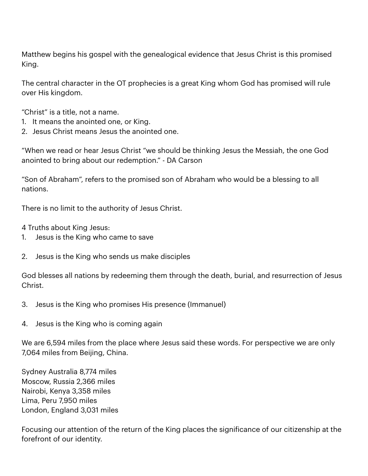Matthew begins his gospel with the genealogical evidence that Jesus Christ is this promised King.

The central character in the OT prophecies is a great King whom God has promised will rule over His kingdom.

"Christ" is a title, not a name.

- 1. It means the anointed one, or King.
- 2. Jesus Christ means Jesus the anointed one.

"When we read or hear Jesus Christ "we should be thinking Jesus the Messiah, the one God anointed to bring about our redemption." - DA Carson

"Son of Abraham", refers to the promised son of Abraham who would be a blessing to all nations.

There is no limit to the authority of Jesus Christ.

4 Truths about King Jesus:

- 1. Jesus is the King who came to save
- 2. Jesus is the King who sends us make disciples

God blesses all nations by redeeming them through the death, burial, and resurrection of Jesus Christ.

- 3. Jesus is the King who promises His presence (Immanuel)
- 4. Jesus is the King who is coming again

We are 6,594 miles from the place where Jesus said these words. For perspective we are only 7,064 miles from Beijing, China.

Sydney Australia 8,774 miles Moscow, Russia 2,366 miles Nairobi, Kenya 3,358 miles Lima, Peru 7,950 miles London, England 3,031 miles

Focusing our attention of the return of the King places the significance of our citizenship at the forefront of our identity.